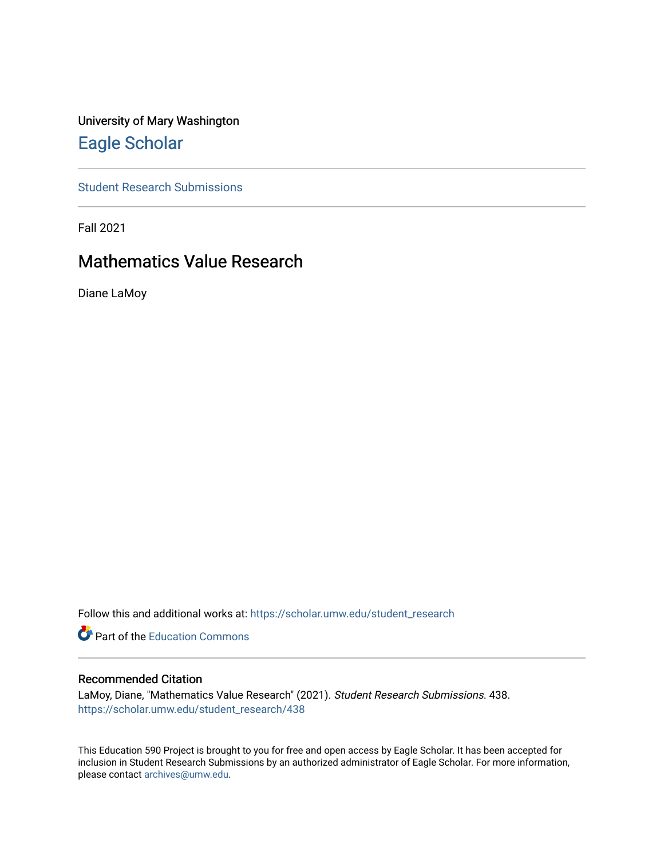University of Mary Washington [Eagle Scholar](https://scholar.umw.edu/) 

[Student Research Submissions](https://scholar.umw.edu/student_research) 

Fall 2021

# Mathematics Value Research

Diane LaMoy

Follow this and additional works at: [https://scholar.umw.edu/student\\_research](https://scholar.umw.edu/student_research?utm_source=scholar.umw.edu%2Fstudent_research%2F438&utm_medium=PDF&utm_campaign=PDFCoverPages)

**Part of the [Education Commons](http://network.bepress.com/hgg/discipline/784?utm_source=scholar.umw.edu%2Fstudent_research%2F438&utm_medium=PDF&utm_campaign=PDFCoverPages)** 

## Recommended Citation

LaMoy, Diane, "Mathematics Value Research" (2021). Student Research Submissions. 438. [https://scholar.umw.edu/student\\_research/438](https://scholar.umw.edu/student_research/438?utm_source=scholar.umw.edu%2Fstudent_research%2F438&utm_medium=PDF&utm_campaign=PDFCoverPages)

This Education 590 Project is brought to you for free and open access by Eagle Scholar. It has been accepted for inclusion in Student Research Submissions by an authorized administrator of Eagle Scholar. For more information, please contact [archives@umw.edu.](mailto:archives@umw.edu)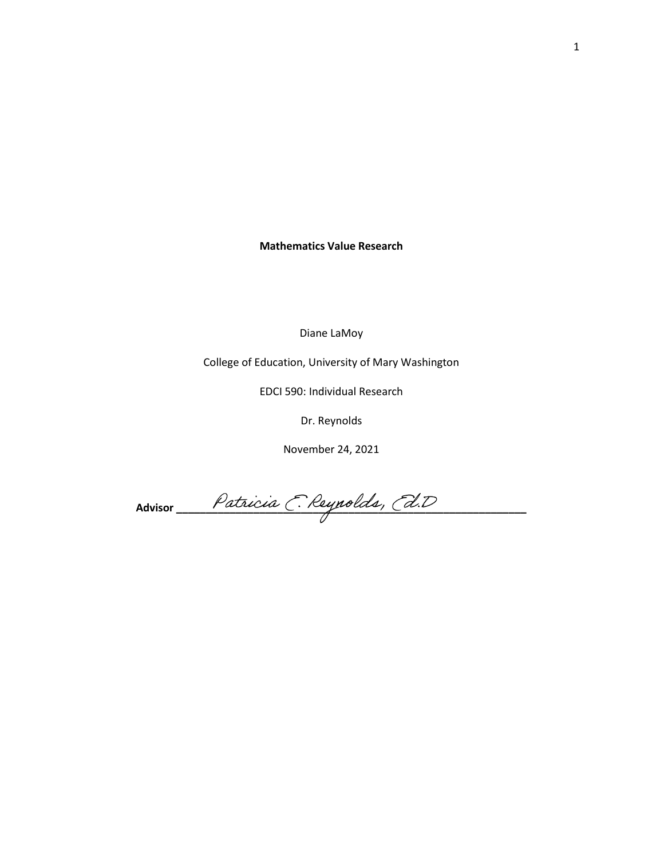**Mathematics Value Research**

Diane LaMoy

College of Education, University of Mary Washington

EDCI 590: Individual Research

Dr. Reynolds

November 24, 2021

Advisor Patricia C. Reynolds, Cd.D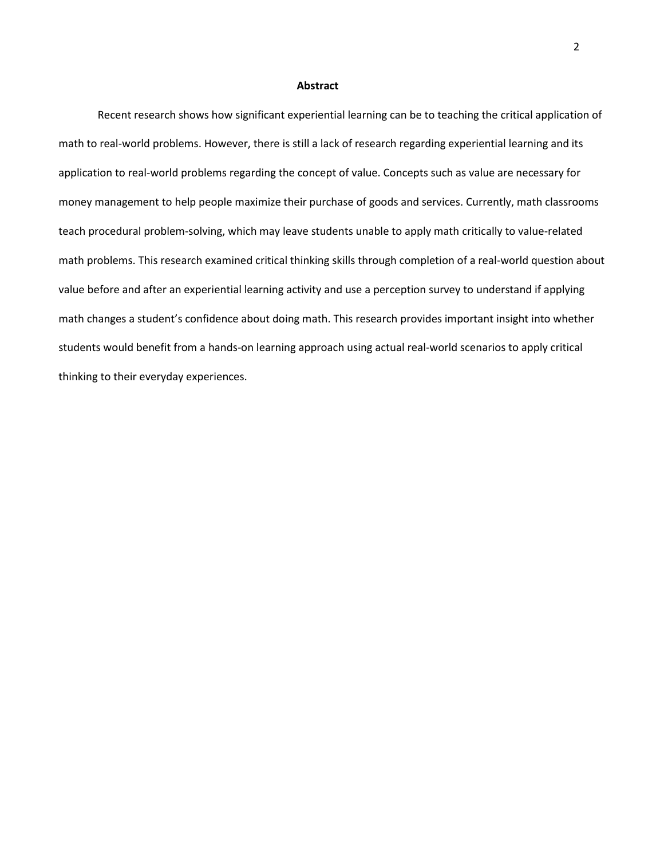#### **Abstract**

Recent research shows how significant experiential learning can be to teaching the critical application of math to real-world problems. However, there is still a lack of research regarding experiential learning and its application to real-world problems regarding the concept of value. Concepts such as value are necessary for money management to help people maximize their purchase of goods and services. Currently, math classrooms teach procedural problem-solving, which may leave students unable to apply math critically to value-related math problems. This research examined critical thinking skills through completion of a real-world question about value before and after an experiential learning activity and use a perception survey to understand if applying math changes a student's confidence about doing math. This research provides important insight into whether students would benefit from a hands-on learning approach using actual real-world scenarios to apply critical thinking to their everyday experiences.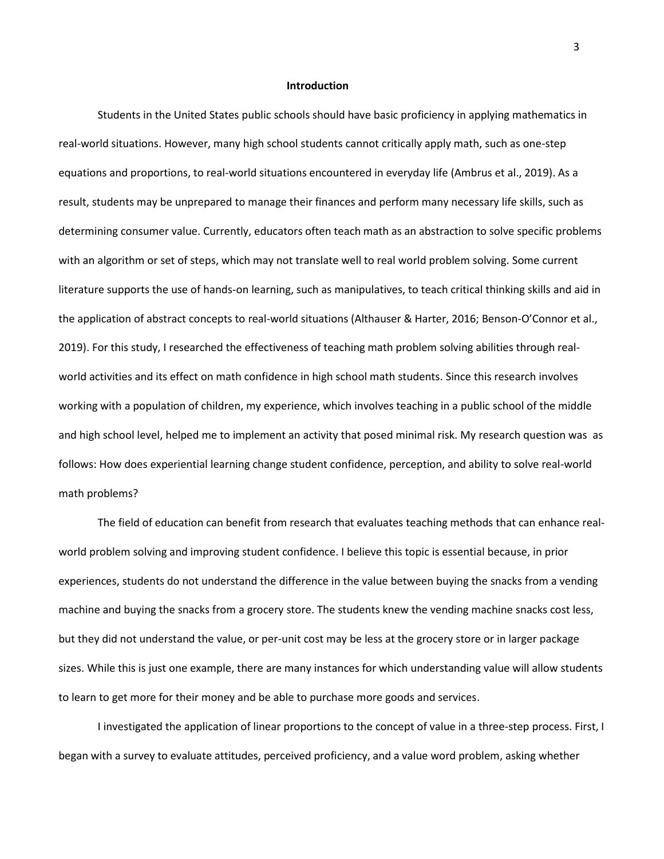#### **Introduction**

Students in the United States public schools should have basic proficiency in applying mathematics in real-world situations. However, many high school students cannot critically apply math, such as one-step equations and proportions, to real-world situations encountered in everyday life (Ambrus et al., 2019). As a result, students may be unprepared to manage their finances and perform many necessary life skills, such as determining consumer value. Currently, educators often teach math as an abstraction to solve specific problems with an algorithm or set of steps, which may not translate well to real world problem solving. Some current literature supports the use of hands-on learning, such as manipulatives, to teach critical thinking skills and aid in the application of abstract concepts to real-world situations (Althauser & Harter, 2016; Benson-O'Connor et al., 2019). For this study, I researched the effectiveness of teaching math problem solving abilities through realworld activities and its effect on math confidence in high school math students. Since this research involves working with a population of children, my experience, which involves teaching in a public school of the middle and high school level, helped me to implement an activity that posed minimal risk. My research question was as follows: How does experiential learning change student confidence, perception, and ability to solve real-world math problems?

The field of education can benefit from research that evaluates teaching methods that can enhance realworld problem solving and improving student confidence. I believe this topic is essential because, in prior experiences, students do not understand the difference in the value between buying the snacks from a vending machine and buying the snacks from a grocery store. The students knew the vending machine snacks cost less, but they did not understand the value, or per-unit cost may be less at the grocery store or in larger package sizes. While this is just one example, there are many instances for which understanding value will allow students to learn to get more for their money and be able to purchase more goods and services.

I investigated the application of linear proportions to the concept of value in a three-step process. First, I began with a survey to evaluate attitudes, perceived proficiency, and a value word problem, asking whether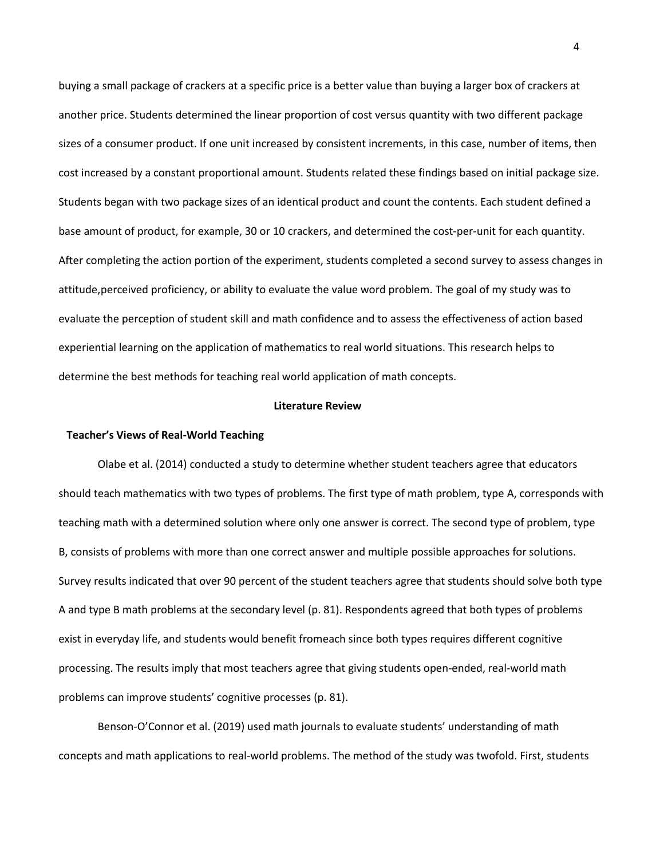buying a small package of crackers at a specific price is a better value than buying a larger box of crackers at another price. Students determined the linear proportion of cost versus quantity with two different package sizes of a consumer product. If one unit increased by consistent increments, in this case, number of items, then cost increased by a constant proportional amount. Students related these findings based on initial package size. Students began with two package sizes of an identical product and count the contents. Each student defined a base amount of product, for example, 30 or 10 crackers, and determined the cost-per-unit for each quantity. After completing the action portion of the experiment, students completed a second survey to assess changes in attitude,perceived proficiency, or ability to evaluate the value word problem. The goal of my study was to evaluate the perception of student skill and math confidence and to assess the effectiveness of action based experiential learning on the application of mathematics to real world situations. This research helps to determine the best methods for teaching real world application of math concepts.

## **Literature Review**

## **Teacher's Views of Real-World Teaching**

Olabe et al. (2014) conducted a study to determine whether student teachers agree that educators should teach mathematics with two types of problems. The first type of math problem, type A, corresponds with teaching math with a determined solution where only one answer is correct. The second type of problem, type B, consists of problems with more than one correct answer and multiple possible approaches for solutions. Survey results indicated that over 90 percent of the student teachers agree that students should solve both type A and type B math problems at the secondary level (p. 81). Respondents agreed that both types of problems exist in everyday life, and students would benefit fromeach since both types requires different cognitive processing. The results imply that most teachers agree that giving students open-ended, real-world math problems can improve students' cognitive processes (p. 81).

Benson-O'Connor et al. (2019) used math journals to evaluate students' understanding of math concepts and math applications to real-world problems. The method of the study was twofold. First, students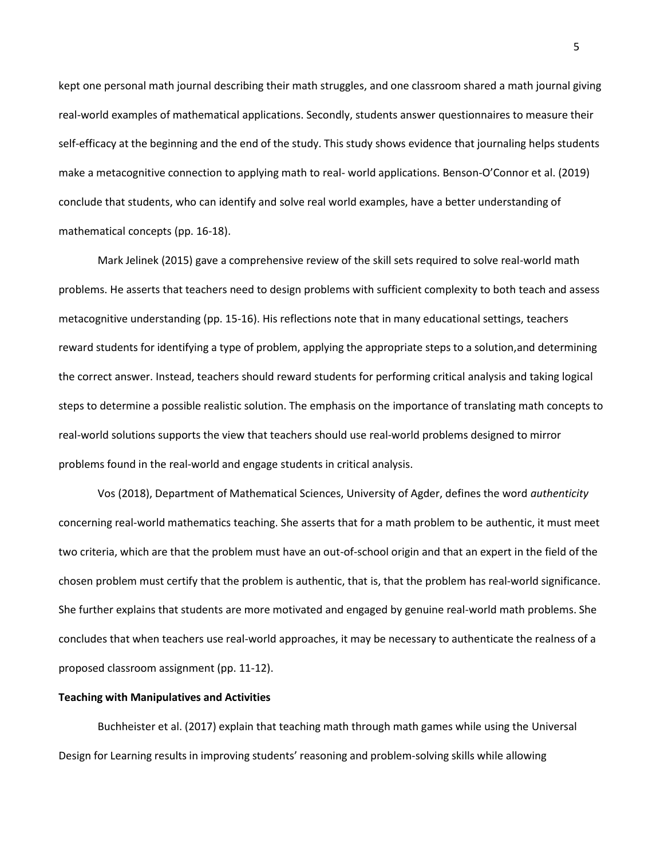kept one personal math journal describing their math struggles, and one classroom shared a math journal giving real-world examples of mathematical applications. Secondly, students answer questionnaires to measure their self-efficacy at the beginning and the end of the study. This study shows evidence that journaling helps students make a metacognitive connection to applying math to real- world applications. Benson-O'Connor et al. (2019) conclude that students, who can identify and solve real world examples, have a better understanding of mathematical concepts (pp. 16-18).

Mark Jelinek (2015) gave a comprehensive review of the skill sets required to solve real-world math problems. He asserts that teachers need to design problems with sufficient complexity to both teach and assess metacognitive understanding (pp. 15-16). His reflections note that in many educational settings, teachers reward students for identifying a type of problem, applying the appropriate steps to a solution,and determining the correct answer. Instead, teachers should reward students for performing critical analysis and taking logical steps to determine a possible realistic solution. The emphasis on the importance of translating math concepts to real-world solutions supports the view that teachers should use real-world problems designed to mirror problems found in the real-world and engage students in critical analysis.

Vos (2018), Department of Mathematical Sciences, University of Agder, defines the word *authenticity* concerning real-world mathematics teaching. She asserts that for a math problem to be authentic, it must meet two criteria, which are that the problem must have an out-of-school origin and that an expert in the field of the chosen problem must certify that the problem is authentic, that is, that the problem has real-world significance. She further explains that students are more motivated and engaged by genuine real-world math problems. She concludes that when teachers use real-world approaches, it may be necessary to authenticate the realness of a proposed classroom assignment (pp. 11-12).

## **Teaching with Manipulatives and Activities**

Buchheister et al. (2017) explain that teaching math through math games while using the Universal Design for Learning results in improving students' reasoning and problem-solving skills while allowing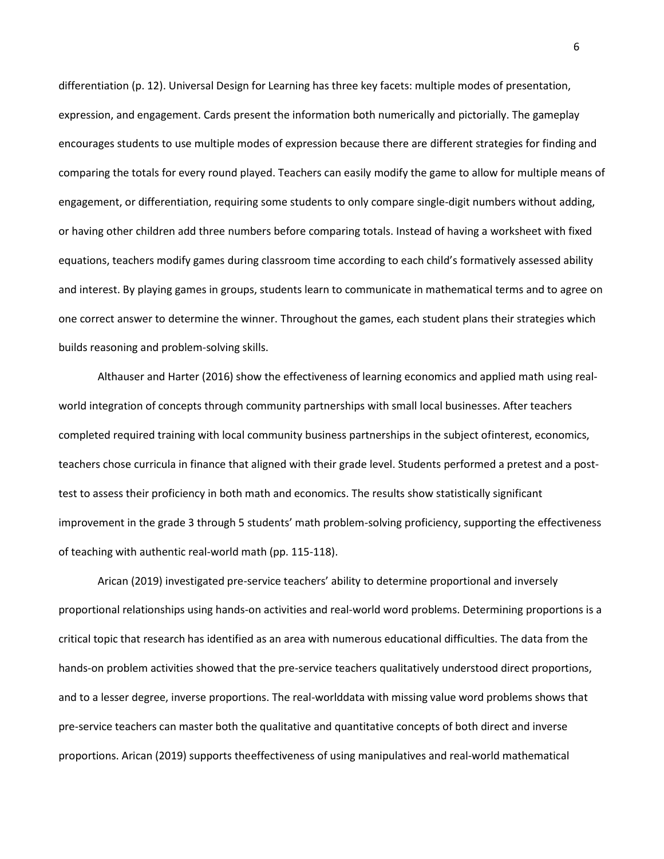differentiation (p. 12). Universal Design for Learning has three key facets: multiple modes of presentation, expression, and engagement. Cards present the information both numerically and pictorially. The gameplay encourages students to use multiple modes of expression because there are different strategies for finding and comparing the totals for every round played. Teachers can easily modify the game to allow for multiple means of engagement, or differentiation, requiring some students to only compare single-digit numbers without adding, or having other children add three numbers before comparing totals. Instead of having a worksheet with fixed equations, teachers modify games during classroom time according to each child's formatively assessed ability and interest. By playing games in groups, students learn to communicate in mathematical terms and to agree on one correct answer to determine the winner. Throughout the games, each student plans their strategies which builds reasoning and problem-solving skills.

Althauser and Harter (2016) show the effectiveness of learning economics and applied math using realworld integration of concepts through community partnerships with small local businesses. After teachers completed required training with local community business partnerships in the subject ofinterest, economics, teachers chose curricula in finance that aligned with their grade level. Students performed a pretest and a posttest to assess their proficiency in both math and economics. The results show statistically significant improvement in the grade 3 through 5 students' math problem-solving proficiency, supporting the effectiveness of teaching with authentic real-world math (pp. 115-118).

Arican (2019) investigated pre-service teachers' ability to determine proportional and inversely proportional relationships using hands-on activities and real-world word problems. Determining proportions is a critical topic that research has identified as an area with numerous educational difficulties. The data from the hands-on problem activities showed that the pre-service teachers qualitatively understood direct proportions, and to a lesser degree, inverse proportions. The real-worlddata with missing value word problems shows that pre-service teachers can master both the qualitative and quantitative concepts of both direct and inverse proportions. Arican (2019) supports theeffectiveness of using manipulatives and real-world mathematical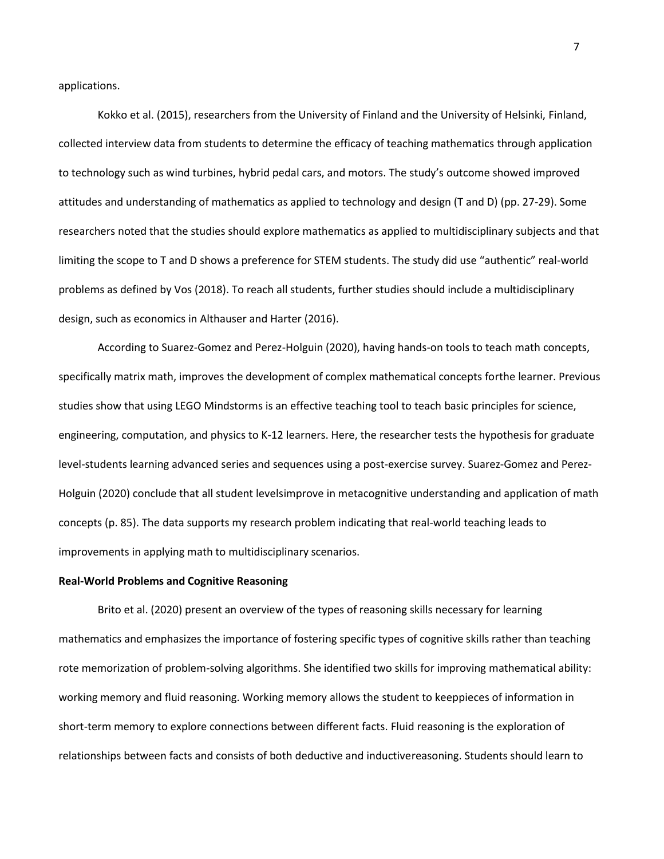applications.

Kokko et al. (2015), researchers from the University of Finland and the University of Helsinki, Finland, collected interview data from students to determine the efficacy of teaching mathematics through application to technology such as wind turbines, hybrid pedal cars, and motors. The study's outcome showed improved attitudes and understanding of mathematics as applied to technology and design (T and D) (pp. 27-29). Some researchers noted that the studies should explore mathematics as applied to multidisciplinary subjects and that limiting the scope to T and D shows a preference for STEM students. The study did use "authentic" real-world problems as defined by Vos (2018). To reach all students, further studies should include a multidisciplinary design, such as economics in Althauser and Harter (2016).

According to Suarez-Gomez and Perez-Holguin (2020), having hands-on tools to teach math concepts, specifically matrix math, improves the development of complex mathematical concepts forthe learner. Previous studies show that using LEGO Mindstorms is an effective teaching tool to teach basic principles for science, engineering, computation, and physics to K-12 learners. Here, the researcher tests the hypothesis for graduate level-students learning advanced series and sequences using a post-exercise survey. Suarez-Gomez and Perez-Holguin (2020) conclude that all student levelsimprove in metacognitive understanding and application of math concepts (p. 85). The data supports my research problem indicating that real-world teaching leads to improvements in applying math to multidisciplinary scenarios.

#### **Real-World Problems and Cognitive Reasoning**

Brito et al. (2020) present an overview of the types of reasoning skills necessary for learning mathematics and emphasizes the importance of fostering specific types of cognitive skills rather than teaching rote memorization of problem-solving algorithms. She identified two skills for improving mathematical ability: working memory and fluid reasoning. Working memory allows the student to keeppieces of information in short-term memory to explore connections between different facts. Fluid reasoning is the exploration of relationships between facts and consists of both deductive and inductivereasoning. Students should learn to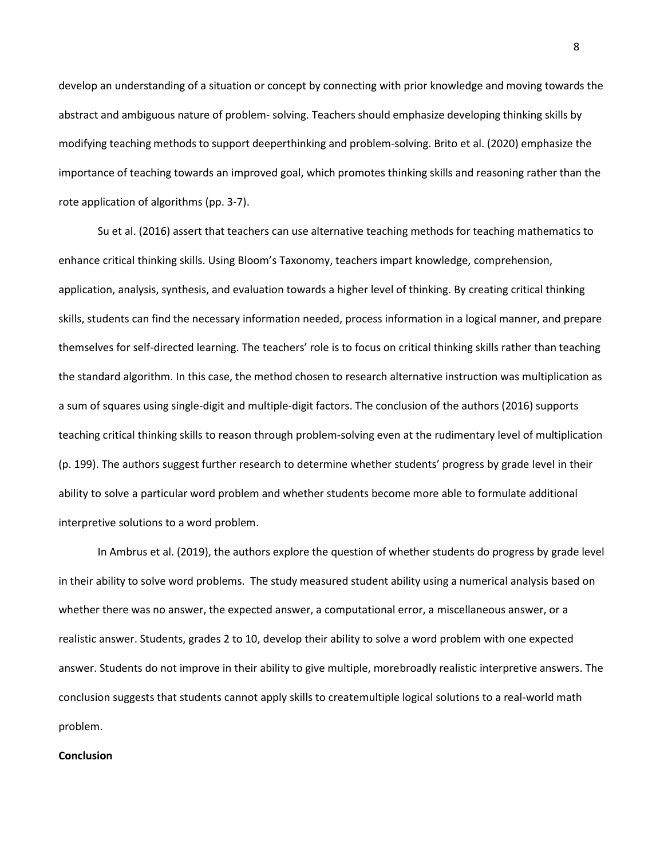develop an understanding of a situation or concept by connecting with prior knowledge and moving towards the abstract and ambiguous nature of problem- solving. Teachers should emphasize developing thinking skills by modifying teaching methods to support deeperthinking and problem-solving. Brito et al. (2020) emphasize the importance of teaching towards an improved goal, which promotes thinking skills and reasoning rather than the rote application of algorithms (pp. 3-7).

Su et al. (2016) assert that teachers can use alternative teaching methods for teaching mathematics to enhance critical thinking skills. Using Bloom's Taxonomy, teachers impart knowledge, comprehension, application, analysis, synthesis, and evaluation towards a higher level of thinking. By creating critical thinking skills, students can find the necessary information needed, process information in a logical manner, and prepare themselves for self-directed learning. The teachers' role is to focus on critical thinking skills rather than teaching the standard algorithm. In this case, the method chosen to research alternative instruction was multiplication as a sum of squares using single-digit and multiple-digit factors. The conclusion of the authors (2016) supports teaching critical thinking skills to reason through problem-solving even at the rudimentary level of multiplication (p. 199). The authors suggest further research to determine whether students' progress by grade level in their ability to solve a particular word problem and whether students become more able to formulate additional interpretive solutions to a word problem.

In Ambrus et al. (2019), the authors explore the question of whether students do progress by grade level in their ability to solve word problems. The study measured student ability using a numerical analysis based on whether there was no answer, the expected answer, a computational error, a miscellaneous answer, or a realistic answer. Students, grades 2 to 10, develop their ability to solve a word problem with one expected answer. Students do not improve in their ability to give multiple, morebroadly realistic interpretive answers. The conclusion suggests that students cannot apply skills to createmultiple logical solutions to a real-world math problem.

#### **Conclusion**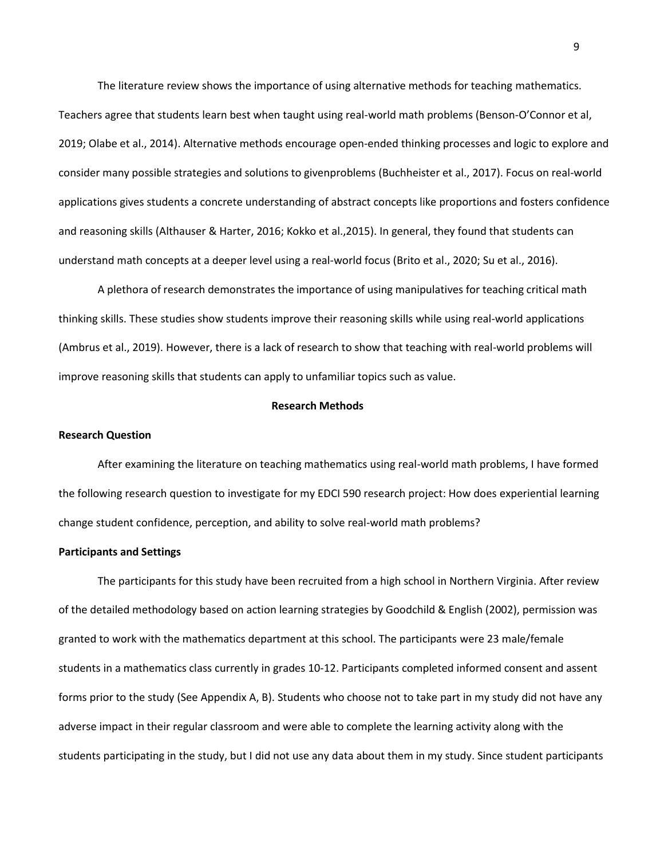The literature review shows the importance of using alternative methods for teaching mathematics.

Teachers agree that students learn best when taught using real-world math problems (Benson-O'Connor et al, 2019; Olabe et al., 2014). Alternative methods encourage open-ended thinking processes and logic to explore and consider many possible strategies and solutions to givenproblems (Buchheister et al., 2017). Focus on real-world applications gives students a concrete understanding of abstract concepts like proportions and fosters confidence and reasoning skills (Althauser & Harter, 2016; Kokko et al.,2015). In general, they found that students can understand math concepts at a deeper level using a real-world focus (Brito et al., 2020; Su et al., 2016).

A plethora of research demonstrates the importance of using manipulatives for teaching critical math thinking skills. These studies show students improve their reasoning skills while using real-world applications (Ambrus et al., 2019). However, there is a lack of research to show that teaching with real-world problems will improve reasoning skills that students can apply to unfamiliar topics such as value.

## **Research Methods**

## **Research Question**

After examining the literature on teaching mathematics using real-world math problems, I have formed the following research question to investigate for my EDCI 590 research project: How does experiential learning change student confidence, perception, and ability to solve real-world math problems?

## **Participants and Settings**

The participants for this study have been recruited from a high school in Northern Virginia. After review of the detailed methodology based on action learning strategies by Goodchild & English (2002), permission was granted to work with the mathematics department at this school. The participants were 23 male/female students in a mathematics class currently in grades 10-12. Participants completed informed consent and assent forms prior to the study (See Appendix A, B). Students who choose not to take part in my study did not have any adverse impact in their regular classroom and were able to complete the learning activity along with the students participating in the study, but I did not use any data about them in my study. Since student participants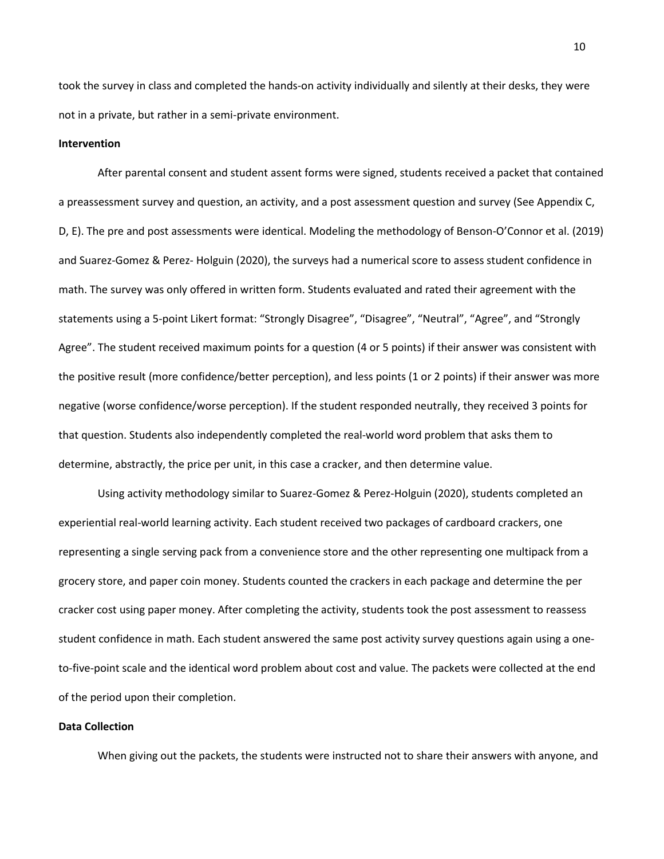took the survey in class and completed the hands-on activity individually and silently at their desks, they were not in a private, but rather in a semi-private environment.

#### **Intervention**

After parental consent and student assent forms were signed, students received a packet that contained a preassessment survey and question, an activity, and a post assessment question and survey (See Appendix C, D, E). The pre and post assessments were identical. Modeling the methodology of Benson-O'Connor et al. (2019) and Suarez-Gomez & Perez- Holguin (2020), the surveys had a numerical score to assess student confidence in math. The survey was only offered in written form. Students evaluated and rated their agreement with the statements using a 5-point Likert format: "Strongly Disagree", "Disagree", "Neutral", "Agree", and "Strongly Agree". The student received maximum points for a question (4 or 5 points) if their answer was consistent with the positive result (more confidence/better perception), and less points (1 or 2 points) if their answer was more negative (worse confidence/worse perception). If the student responded neutrally, they received 3 points for that question. Students also independently completed the real-world word problem that asks them to determine, abstractly, the price per unit, in this case a cracker, and then determine value.

Using activity methodology similar to Suarez-Gomez & Perez-Holguin (2020), students completed an experiential real-world learning activity. Each student received two packages of cardboard crackers, one representing a single serving pack from a convenience store and the other representing one multipack from a grocery store, and paper coin money. Students counted the crackers in each package and determine the per cracker cost using paper money. After completing the activity, students took the post assessment to reassess student confidence in math. Each student answered the same post activity survey questions again using a oneto-five-point scale and the identical word problem about cost and value. The packets were collected at the end of the period upon their completion.

## **Data Collection**

When giving out the packets, the students were instructed not to share their answers with anyone, and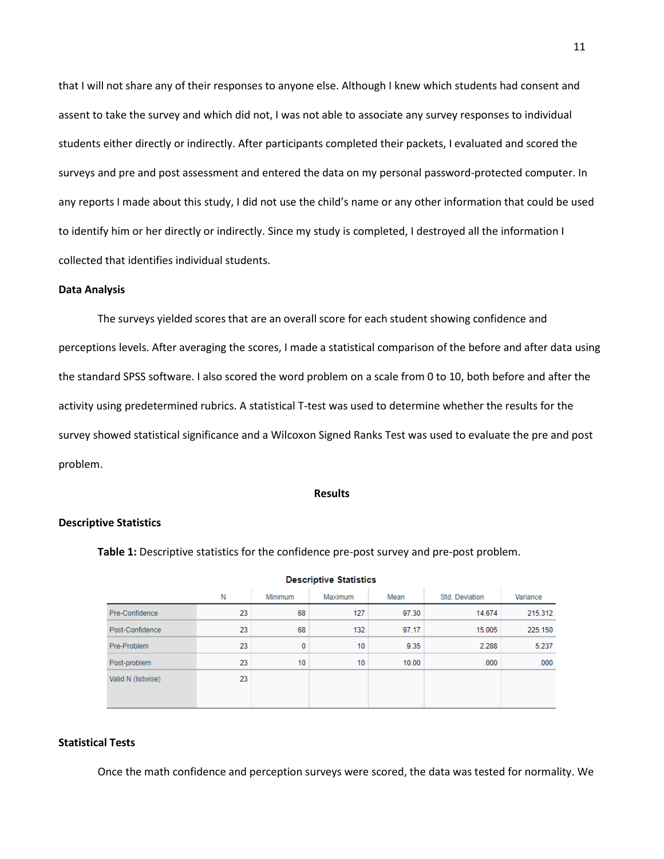that I will not share any of their responses to anyone else. Although I knew which students had consent and assent to take the survey and which did not, I was not able to associate any survey responses to individual students either directly or indirectly. After participants completed their packets, I evaluated and scored the surveys and pre and post assessment and entered the data on my personal password-protected computer. In any reports I made about this study, I did not use the child's name or any other information that could be used to identify him or her directly or indirectly. Since my study is completed, I destroyed all the information I collected that identifies individual students.

## **Data Analysis**

The surveys yielded scores that are an overall score for each student showing confidence and perceptions levels. After averaging the scores, I made a statistical comparison of the before and after data using the standard SPSS software. I also scored the word problem on a scale from 0 to 10, both before and after the activity using predetermined rubrics. A statistical T-test was used to determine whether the results for the survey showed statistical significance and a Wilcoxon Signed Ranks Test was used to evaluate the pre and post problem.

## **Results**

## **Descriptive Statistics**

**Table 1:** Descriptive statistics for the confidence pre-post survey and pre-post problem.

| Descriptive Statistics |    |         |         |       |                |          |
|------------------------|----|---------|---------|-------|----------------|----------|
|                        | Ν  | Minimum | Maximum | Mean  | Std. Deviation | Variance |
| Pre-Confidence         | 23 | 68      | 127     | 97.30 | 14.674         | 215.312  |
| Post-Confidence        | 23 | 68      | 132     | 97.17 | 15.005         | 225.150  |
| Pre-Problem            | 23 | 0       | 10      | 9.35  | 2.288          | 5.237    |
| Post-problem           | 23 | 10      | 10      | 10.00 | .000           | .000     |
| Valid N (listwise)     | 23 |         |         |       |                |          |

#### Programmatics, Paughantino

#### **Statistical Tests**

Once the math confidence and perception surveys were scored, the data was tested for normality. We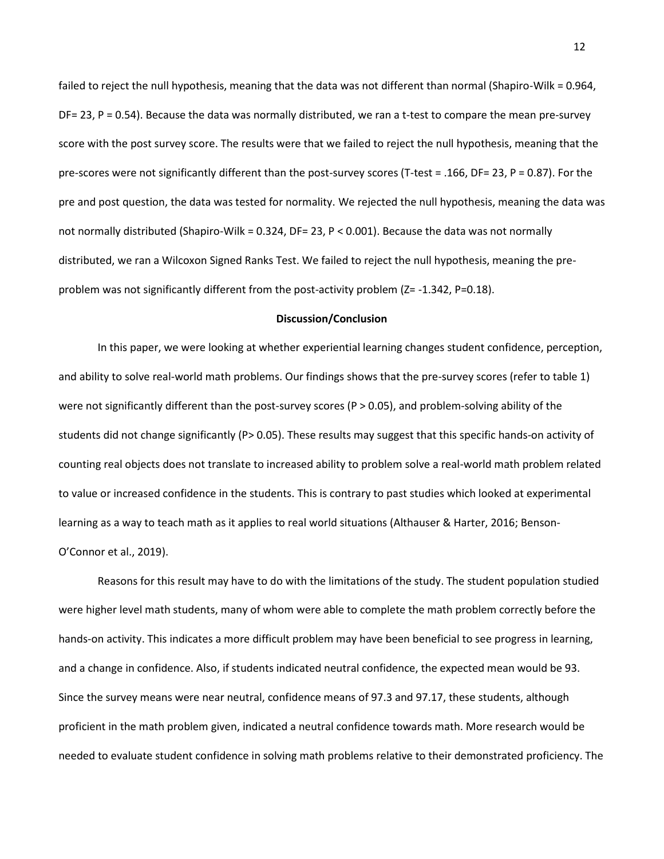failed to reject the null hypothesis, meaning that the data was not different than normal (Shapiro-Wilk = 0.964, DF= 23, P = 0.54). Because the data was normally distributed, we ran a t-test to compare the mean pre-survey score with the post survey score. The results were that we failed to reject the null hypothesis, meaning that the pre-scores were not significantly different than the post-survey scores (T-test = .166, DF= 23, P = 0.87). For the pre and post question, the data was tested for normality. We rejected the null hypothesis, meaning the data was not normally distributed (Shapiro-Wilk = 0.324, DF= 23, P < 0.001). Because the data was not normally distributed, we ran a Wilcoxon Signed Ranks Test. We failed to reject the null hypothesis, meaning the preproblem was not significantly different from the post-activity problem (Z= -1.342, P=0.18).

## **Discussion/Conclusion**

In this paper, we were looking at whether experiential learning changes student confidence, perception, and ability to solve real-world math problems. Our findings shows that the pre-survey scores (refer to table 1) were not significantly different than the post-survey scores (P > 0.05), and problem-solving ability of the students did not change significantly (P> 0.05). These results may suggest that this specific hands-on activity of counting real objects does not translate to increased ability to problem solve a real-world math problem related to value or increased confidence in the students. This is contrary to past studies which looked at experimental learning as a way to teach math as it applies to real world situations (Althauser & Harter, 2016; Benson-O'Connor et al., 2019).

Reasons for this result may have to do with the limitations of the study. The student population studied were higher level math students, many of whom were able to complete the math problem correctly before the hands-on activity. This indicates a more difficult problem may have been beneficial to see progress in learning, and a change in confidence. Also, if students indicated neutral confidence, the expected mean would be 93. Since the survey means were near neutral, confidence means of 97.3 and 97.17, these students, although proficient in the math problem given, indicated a neutral confidence towards math. More research would be needed to evaluate student confidence in solving math problems relative to their demonstrated proficiency. The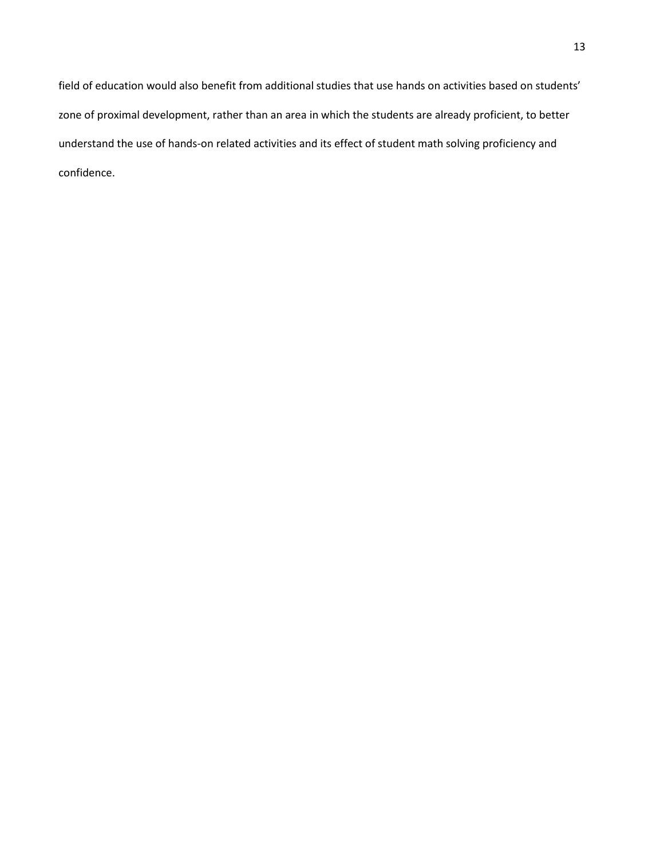field of education would also benefit from additional studies that use hands on activities based on students' zone of proximal development, rather than an area in which the students are already proficient, to better understand the use of hands-on related activities and its effect of student math solving proficiency and confidence.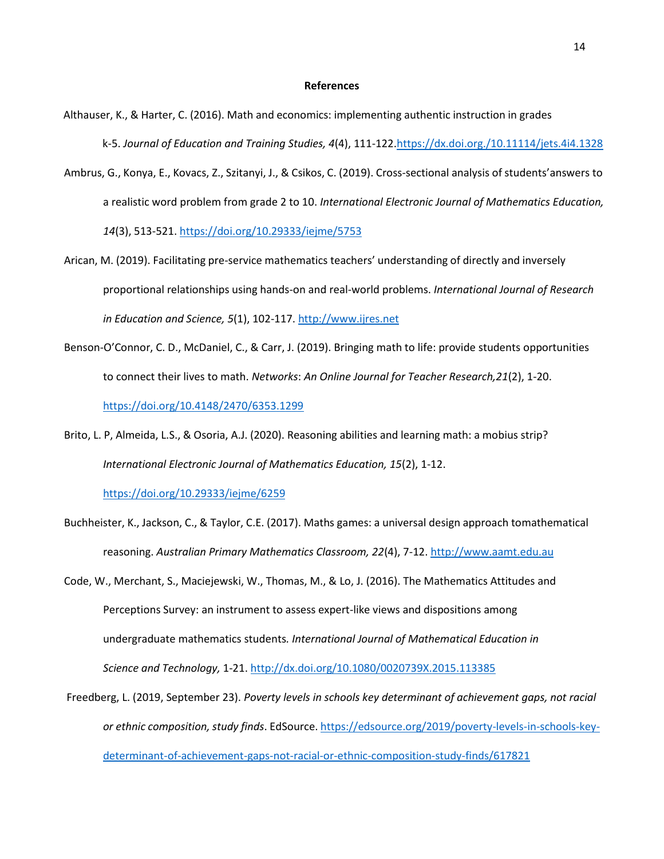#### **References**

- Althauser, K., & Harter, C. (2016). Math and economics: implementing authentic instruction in grades k-5. *Journal of Education and Training Studies, 4*(4), 111-122.https://dx.doi.org./10.11114/jets.4i4.1328
- Ambrus, G., Konya, E., Kovacs, Z., Szitanyi, J., & Csikos, C. (2019). Cross-sectional analysis of students'answers to a realistic word problem from grade 2 to 10. *International Electronic Journal of Mathematics Education, 14*(3), 513-521. https://doi.org/10.29333/iejme/5753
- Arican, M. (2019). Facilitating pre-service mathematics teachers' understanding of directly and inversely proportional relationships using hands-on and real-world problems. *International Journal of Research in Education and Science, 5*(1), 102-117. [http://www.ijres.net](about:blank)
- Benson-O'Connor, C. D., McDaniel, C., & Carr, J. (2019). Bringing math to life: provide students opportunities to connect their lives to math. *Networks*: *An Online Journal for Teacher Research,21*(2), 1-20. https://doi.org/10.4148/2470/6353.1299
- Brito, L. P, Almeida, L.S., & Osoria, A.J. (2020). Reasoning abilities and learning math: a mobius strip? *International Electronic Journal of Mathematics Education, 15*(2), 1-12.

https://doi.org/10.29333/iejme/6259

- Buchheister, K., Jackson, C., & Taylor, C.E. (2017). Maths games: a universal design approach tomathematical reasoning. *Australian Primary Mathematics Classroom, 22*(4), 7-12. [http://www.aamt.edu.au](about:blank)
- Code, W., Merchant, S., Maciejewski, W., Thomas, M., & Lo, J. (2016). The Mathematics Attitudes and Perceptions Survey: an instrument to assess expert-like views and dispositions among undergraduate mathematics students*. International Journal of Mathematical Education in Science and Technology,* 1-21. [http://dx.doi.org/10.1080/0020739X.2015.113385](about:blank)
- Freedberg, L. (2019, September 23). *Poverty levels in schools key determinant of achievement gaps, not racial or ethnic composition, study finds*. EdSource. [https://edsource.org/2019/poverty-levels-in-schools-key](about:blank)[determinant-of-achievement-gaps-not-racial-or-ethnic-composition-study-finds/617821](about:blank)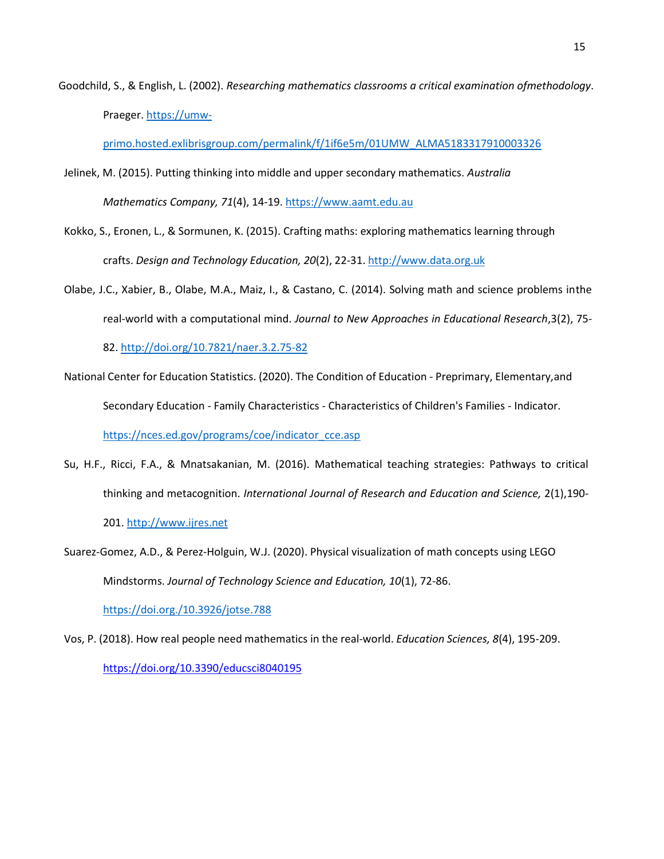Goodchild, S., & English, L. (2002). *Researching mathematics classrooms a critical examination ofmethodology*. Praeger. [https://umw-](about:blank)

[primo.hosted.exlibrisgroup.com/permalink/f/1if6e5m/01UMW\\_ALMA5183317910003326](about:blank)

- Jelinek, M. (2015). Putting thinking into middle and upper secondary mathematics. *Australia Mathematics Company, 71*(4), 14-19. https:[//www.aamt.edu.au](about:blank)
- Kokko, S., Eronen, L., & Sormunen, K. (2015). Crafting maths: exploring mathematics learning through crafts. *Design and Technology Education, 20*(2), 22-31. [http://www.data.org.uk](about:blank)
- Olabe, J.C., Xabier, B., Olabe, M.A., Maiz, I., & Castano, C. (2014). Solving math and science problems inthe real-world with a computational mind. *Journal to New Approaches in Educational Research*,3(2), 75-

82. [http://doi.org/10.7821/naer.3.2.75-82](about:blank)

- National Center for Education Statistics. (2020). The Condition of Education Preprimary, Elementary,and Secondary Education - Family Characteristics - Characteristics of Children's Families - Indicator. [https://nces.ed.gov/programs/coe/indicator\\_cce.asp](about:blank)
- Su, H.F., Ricci, F.A., & Mnatsakanian, M. (2016). Mathematical teaching strategies: Pathways to critical thinking and metacognition. *International Journal of Research and Education and Science,* 2(1),190- 201. [http://www.ijres.net](about:blank)
- Suarez-Gomez, A.D., & Perez-Holguin, W.J. (2020). Physical visualization of math concepts using LEGO Mindstorms. *Journal of Technology Science and Education, 10*(1), 72-86.

https://doi.org./10.3926/jotse.788

Vos, P. (2018). How real people need mathematics in the real-world. *Education Sciences, 8*(4), 195-209. [https://doi.org/10.3390/educsci8040195](about:blank)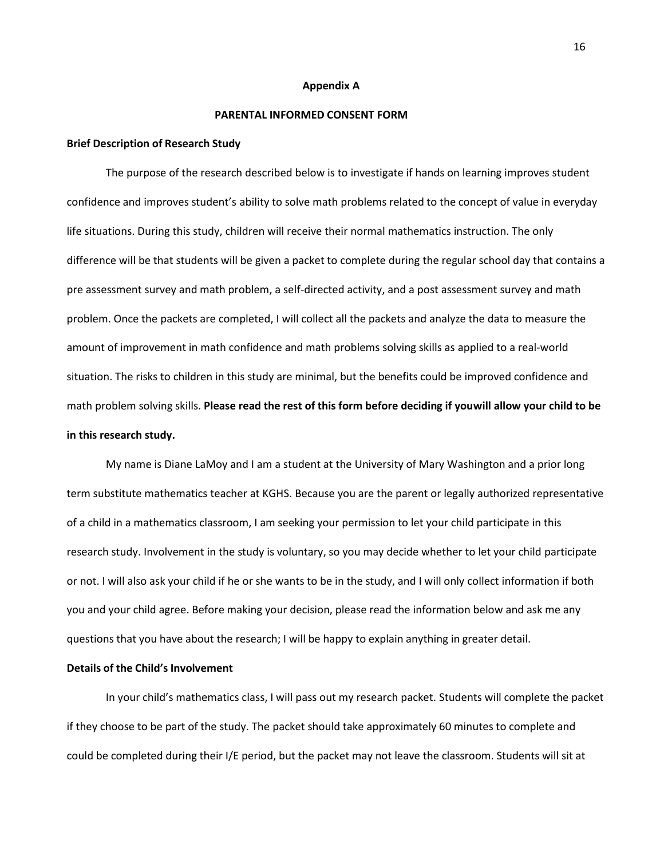#### **Appendix A**

## **PARENTAL INFORMED CONSENT FORM**

## **Brief Description of Research Study**

The purpose of the research described below is to investigate if hands on learning improves student confidence and improves student's ability to solve math problems related to the concept of value in everyday life situations. During this study, children will receive their normal mathematics instruction. The only difference will be that students will be given a packet to complete during the regular school day that contains a pre assessment survey and math problem, a self-directed activity, and a post assessment survey and math problem. Once the packets are completed, I will collect all the packets and analyze the data to measure the amount of improvement in math confidence and math problems solving skills as applied to a real-world situation. The risks to children in this study are minimal, but the benefits could be improved confidence and math problem solving skills. **Please read the rest of this form before deciding if youwill allow your child to be in this research study.**

My name is Diane LaMoy and I am a student at the University of Mary Washington and a prior long term substitute mathematics teacher at KGHS. Because you are the parent or legally authorized representative of a child in a mathematics classroom, I am seeking your permission to let your child participate in this research study. Involvement in the study is voluntary, so you may decide whether to let your child participate or not. I will also ask your child if he or she wants to be in the study, and I will only collect information if both you and your child agree. Before making your decision, please read the information below and ask me any questions that you have about the research; I will be happy to explain anything in greater detail.

## **Details of the Child's Involvement**

In your child's mathematics class, I will pass out my research packet. Students will complete the packet if they choose to be part of the study. The packet should take approximately 60 minutes to complete and could be completed during their I/E period, but the packet may not leave the classroom. Students will sit at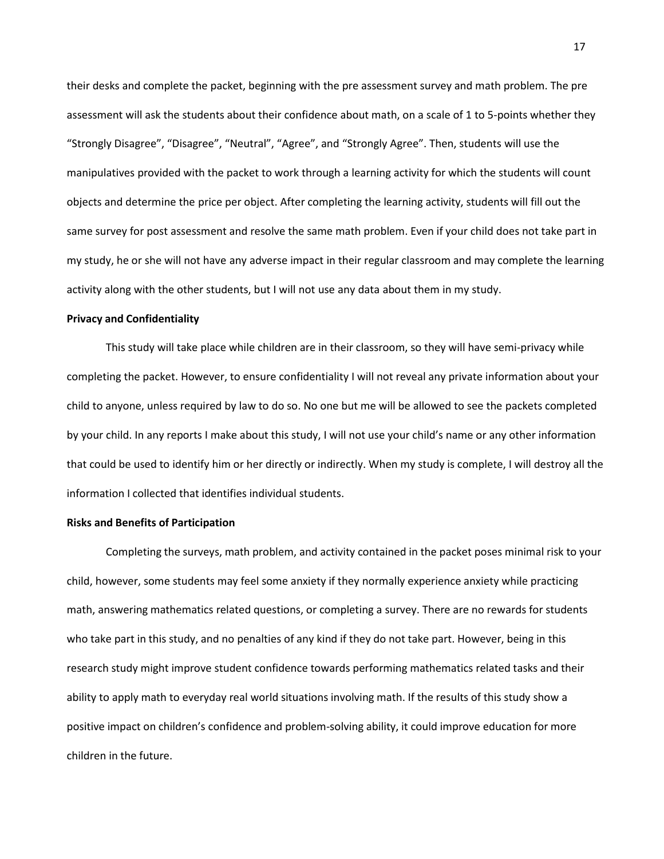their desks and complete the packet, beginning with the pre assessment survey and math problem. The pre assessment will ask the students about their confidence about math, on a scale of 1 to 5-points whether they "Strongly Disagree", "Disagree", "Neutral", "Agree", and "Strongly Agree". Then, students will use the manipulatives provided with the packet to work through a learning activity for which the students will count objects and determine the price per object. After completing the learning activity, students will fill out the same survey for post assessment and resolve the same math problem. Even if your child does not take part in my study, he or she will not have any adverse impact in their regular classroom and may complete the learning activity along with the other students, but I will not use any data about them in my study.

#### **Privacy and Confidentiality**

This study will take place while children are in their classroom, so they will have semi-privacy while completing the packet. However, to ensure confidentiality I will not reveal any private information about your child to anyone, unless required by law to do so. No one but me will be allowed to see the packets completed by your child. In any reports I make about this study, I will not use your child's name or any other information that could be used to identify him or her directly or indirectly. When my study is complete, I will destroy all the information I collected that identifies individual students.

## **Risks and Benefits of Participation**

Completing the surveys, math problem, and activity contained in the packet poses minimal risk to your child, however, some students may feel some anxiety if they normally experience anxiety while practicing math, answering mathematics related questions, or completing a survey. There are no rewards for students who take part in this study, and no penalties of any kind if they do not take part. However, being in this research study might improve student confidence towards performing mathematics related tasks and their ability to apply math to everyday real world situations involving math. If the results of this study show a positive impact on children's confidence and problem-solving ability, it could improve education for more children in the future.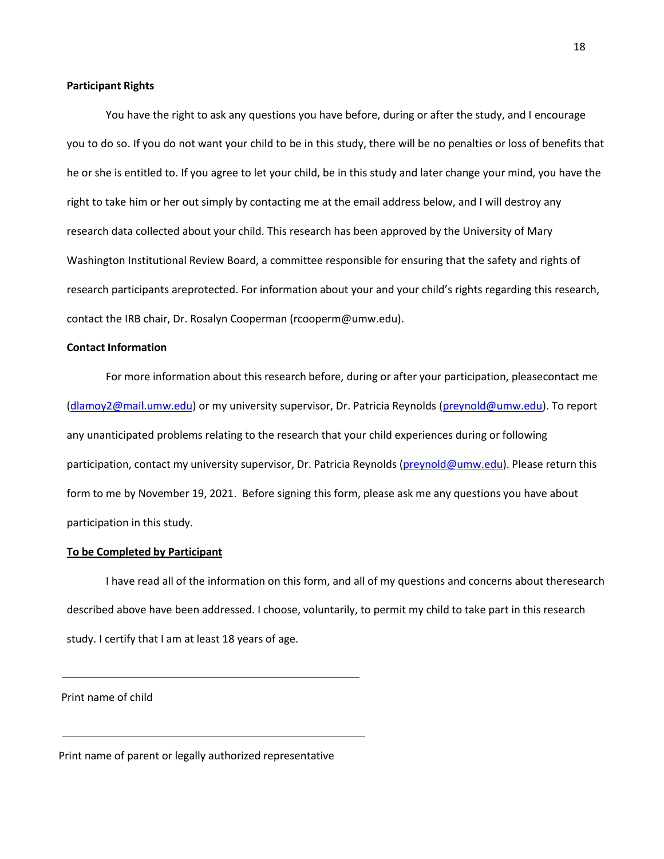#### **Participant Rights**

You have the right to ask any questions you have before, during or after the study, and I encourage you to do so. If you do not want your child to be in this study, there will be no penalties or loss of benefits that he or she is entitled to. If you agree to let your child, be in this study and later change your mind, you have the right to take him or her out simply by contacting me at the email address below, and I will destroy any research data collected about your child. This research has been approved by the University of Mary Washington Institutional Review Board, a committee responsible for ensuring that the safety and rights of research participants areprotected. For information about your and your child's rights regarding this research, contact the IRB chair, Dr. Rosalyn Cooperman (rcooperm@umw.edu).

## **Contact Information**

For more information about this research before, during or after your participation, pleasecontact me (dlamoy2@mail.umw.edu) or my university supervisor, Dr. Patricia Reynolds (preynold@umw.edu). To report any unanticipated problems relating to the research that your child experiences during or following participation, contact my university supervisor, Dr. Patricia Reynolds (preynold@umw.edu). Please return this form to me by November 19, 2021. Before signing this form, please ask me any questions you have about participation in this study.

#### **To be Completed by Participant**

I have read all of the information on this form, and all of my questions and concerns about theresearch described above have been addressed. I choose, voluntarily, to permit my child to take part in this research study. I certify that I am at least 18 years of age.

Print name of child

Print name of parent or legally authorized representative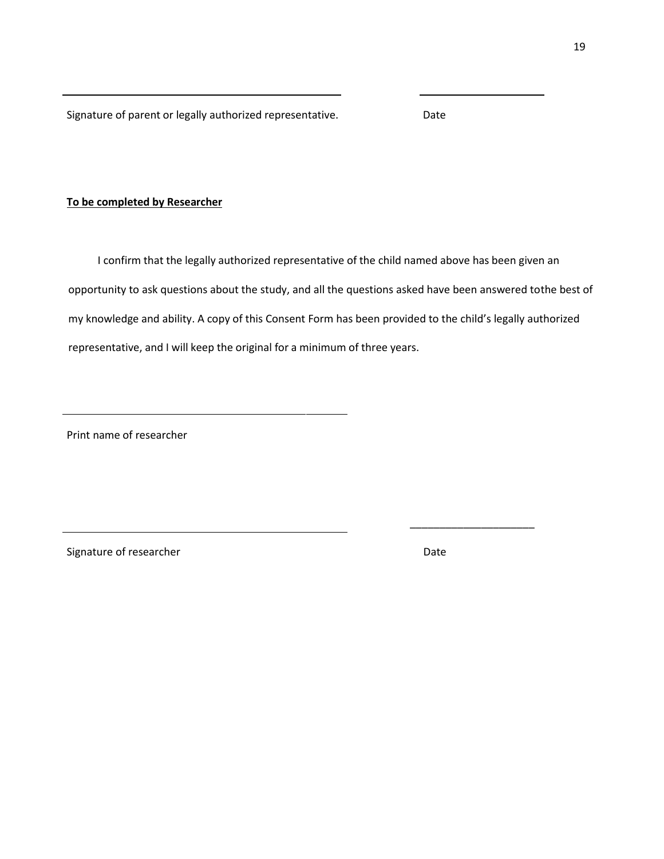Signature of parent or legally authorized representative. Date

## **To be completed by Researcher**

I confirm that the legally authorized representative of the child named above has been given an opportunity to ask questions about the study, and all the questions asked have been answered tothe best of my knowledge and ability. A copy of this Consent Form has been provided to the child's legally authorized representative, and I will keep the original for a minimum of three years.

Print name of researcher

Signature of researcher **Date** Date Date

\_\_\_\_\_\_\_\_\_\_\_\_\_\_\_\_\_\_\_\_\_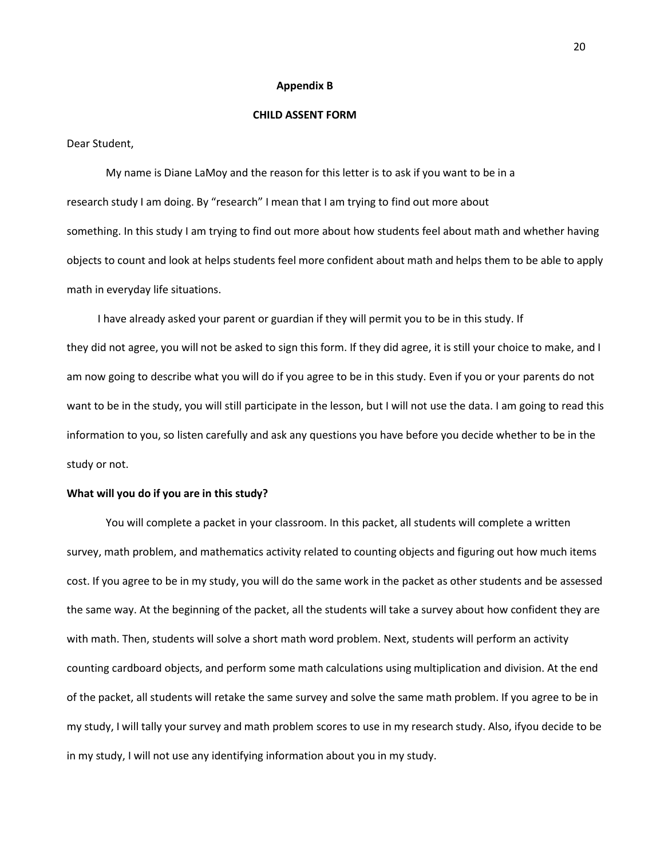#### **Appendix B**

#### **CHILD ASSENT FORM**

Dear Student,

My name is Diane LaMoy and the reason for this letter is to ask if you want to be in a research study I am doing. By "research" I mean that I am trying to find out more about something. In this study I am trying to find out more about how students feel about math and whether having objects to count and look at helps students feel more confident about math and helps them to be able to apply math in everyday life situations.

I have already asked your parent or guardian if they will permit you to be in this study. If they did not agree, you will not be asked to sign this form. If they did agree, it is still your choice to make, and I am now going to describe what you will do if you agree to be in this study. Even if you or your parents do not want to be in the study, you will still participate in the lesson, but I will not use the data. I am going to read this information to you, so listen carefully and ask any questions you have before you decide whether to be in the study or not.

## **What will you do if you are in this study?**

You will complete a packet in your classroom. In this packet, all students will complete a written survey, math problem, and mathematics activity related to counting objects and figuring out how much items cost. If you agree to be in my study, you will do the same work in the packet as other students and be assessed the same way. At the beginning of the packet, all the students will take a survey about how confident they are with math. Then, students will solve a short math word problem. Next, students will perform an activity counting cardboard objects, and perform some math calculations using multiplication and division. At the end of the packet, all students will retake the same survey and solve the same math problem. If you agree to be in my study, I will tally your survey and math problem scores to use in my research study. Also, ifyou decide to be in my study, I will not use any identifying information about you in my study.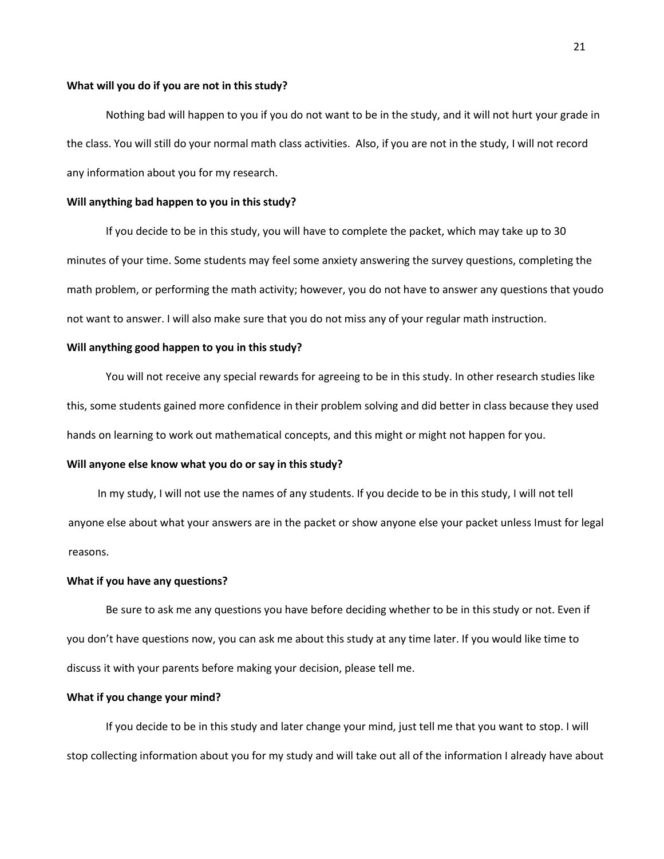## **What will you do if you are not in this study?**

Nothing bad will happen to you if you do not want to be in the study, and it will not hurt your grade in the class. You will still do your normal math class activities. Also, if you are not in the study, I will not record any information about you for my research.

## **Will anything bad happen to you in this study?**

If you decide to be in this study, you will have to complete the packet, which may take up to 30 minutes of your time. Some students may feel some anxiety answering the survey questions, completing the math problem, or performing the math activity; however, you do not have to answer any questions that youdo not want to answer. I will also make sure that you do not miss any of your regular math instruction.

## **Will anything good happen to you in this study?**

You will not receive any special rewards for agreeing to be in this study. In other research studies like this, some students gained more confidence in their problem solving and did better in class because they used hands on learning to work out mathematical concepts, and this might or might not happen for you.

## **Will anyone else know what you do or say in this study?**

In my study, I will not use the names of any students. If you decide to be in this study, I will not tell anyone else about what your answers are in the packet or show anyone else your packet unless Imust for legal reasons.

#### **What if you have any questions?**

Be sure to ask me any questions you have before deciding whether to be in this study or not. Even if you don't have questions now, you can ask me about this study at any time later. If you would like time to discuss it with your parents before making your decision, please tell me.

## **What if you change your mind?**

If you decide to be in this study and later change your mind, just tell me that you want to stop. I will stop collecting information about you for my study and will take out all of the information I already have about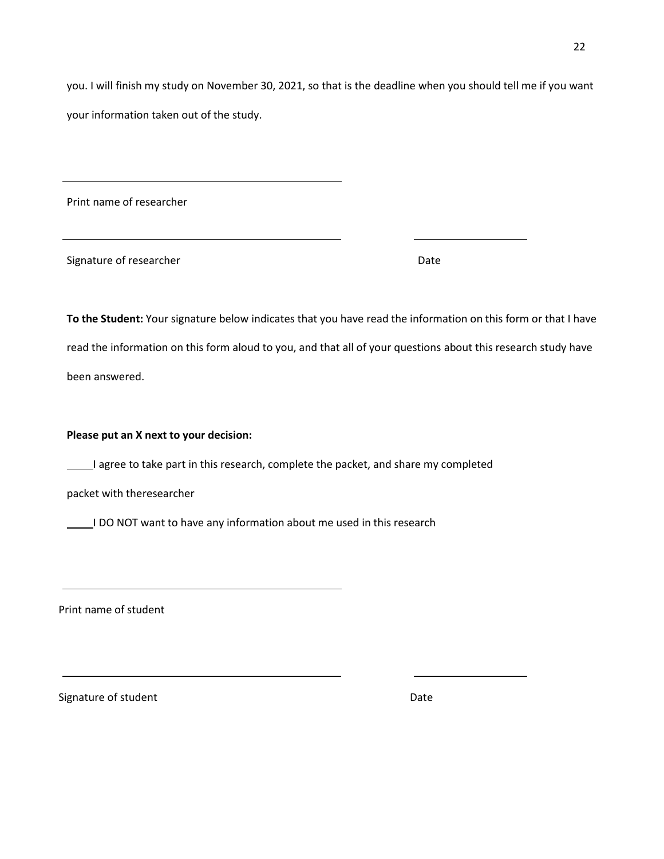you. I will finish my study on November 30, 2021, so that is the deadline when you should tell me if you want your information taken out of the study.

Print name of researcher

Signature of researcher **Date** Date Date

**To the Student:** Your signature below indicates that you have read the information on this form or that I have read the information on this form aloud to you, and that all of your questions about this research study have been answered.

## **Please put an X next to your decision:**

I agree to take part in this research, complete the packet, and share my completed

packet with theresearcher

I DO NOT want to have any information about me used in this research

Print name of student

Signature of student Date Date Date Date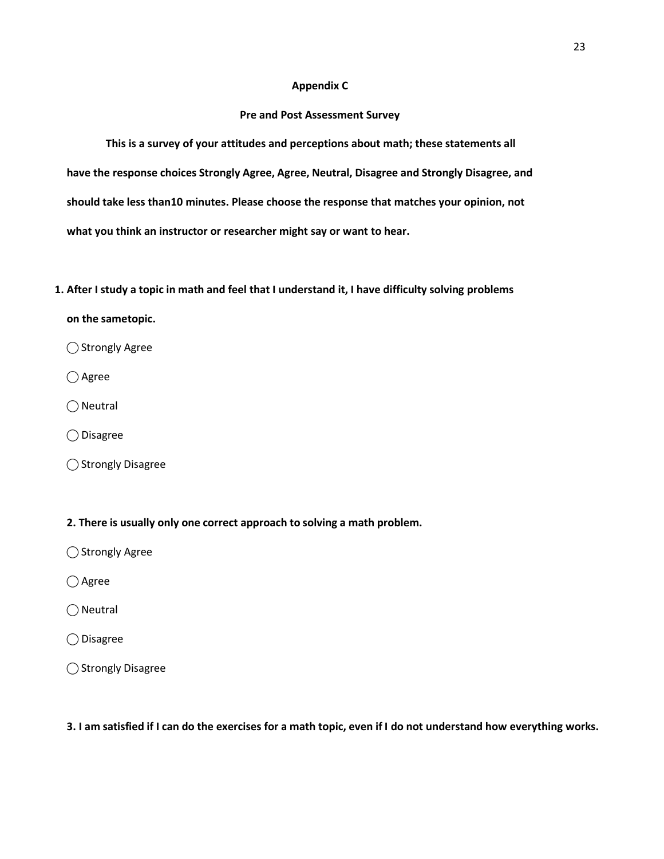## **Appendix C**

## **Pre and Post Assessment Survey**

**This is a survey of your attitudes and perceptions about math; these statements all have the response choices Strongly Agree, Agree, Neutral, Disagree and Strongly Disagree, and should take less than10 minutes. Please choose the response that matches your opinion, not what you think an instructor or researcher might say or want to hear.**

**1. After I study a topic in math and feel that I understand it, I have difficulty solving problems**

## **on the sametopic.**

◯ Strongly Agree

 $\bigcap$  Agree

 $\bigcirc$  Neutral

⃝ Disagree

⃝ Strongly Disagree

## **2. There is usually only one correct approach to solving a math problem.**

◯ Strongly Agree

 $\bigcirc$  Agree

 $\bigcirc$  Neutral

⃝ Disagree

⃝ Strongly Disagree

3. I am satisfied if I can do the exercises for a math topic, even if I do not understand how everything works.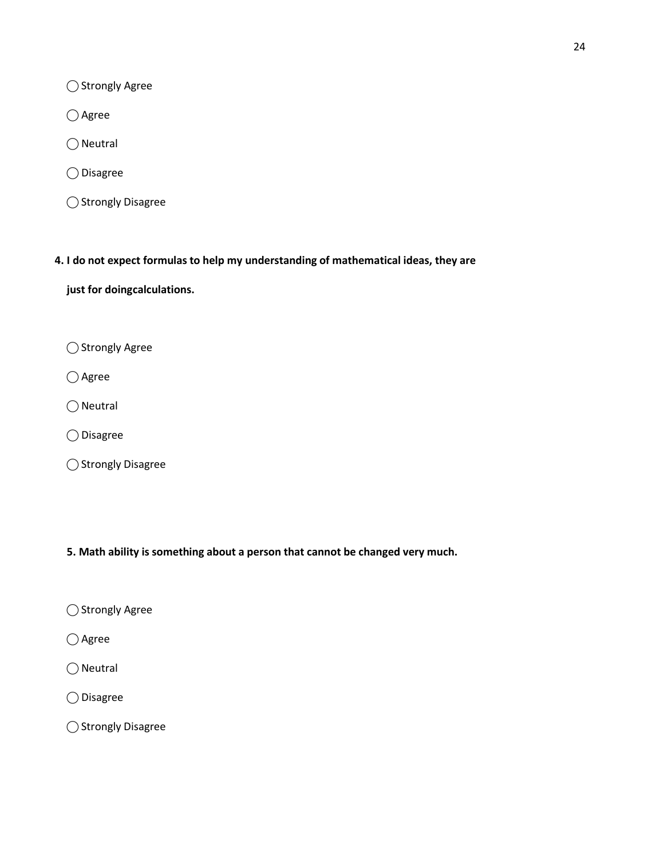○ Strongly Agree

○ Agree

 $\bigcirc$  Neutral

⃝ Disagree

⃝ Strongly Disagree

**4. I do not expect formulas to help my understanding of mathematical ideas, they are**

**just for doingcalculations.**

○ Strongly Agree

○ Agree

 $\bigcirc$  Neutral

⃝ Disagree

⃝ Strongly Disagree

**5. Math ability is something about a person that cannot be changed very much.**

○ Strongly Agree

○ Agree

 $\bigcirc$  Neutral

⃝ Disagree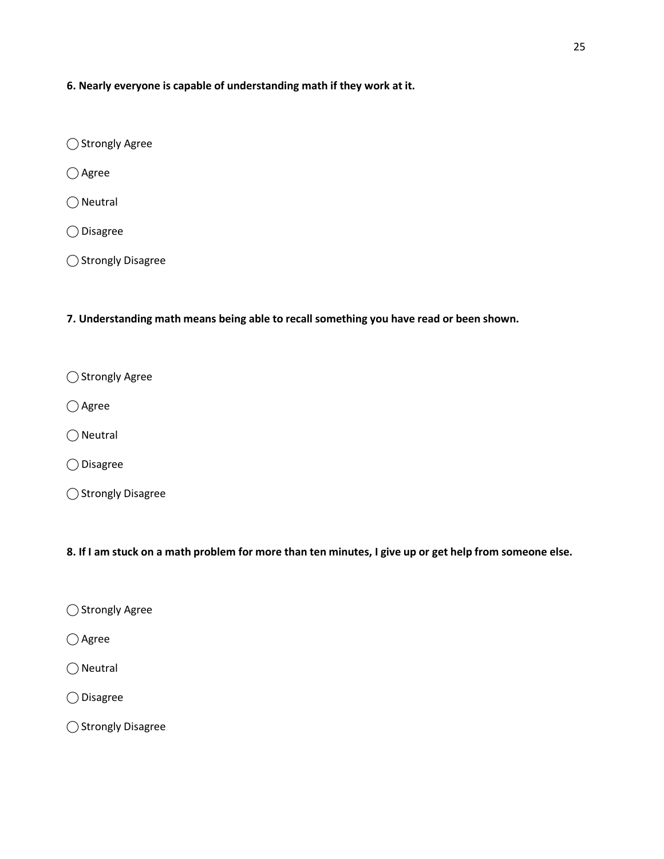**6. Nearly everyone is capable of understanding math if they work at it.**

◯ Strongly Agree

○ Agree

 $\bigcirc$  Neutral

⃝ Disagree

⃝ Strongly Disagree

**7. Understanding math means being able to recall something you have read or been shown.**

○ Strongly Agree

○ Agree

 $\bigcap$  Neutral

⃝ Disagree

⃝ Strongly Disagree

8. If I am stuck on a math problem for more than ten minutes, I give up or get help from someone else.

○ Strongly Agree

○ Agree

 $\bigcap$  Neutral

⃝ Disagree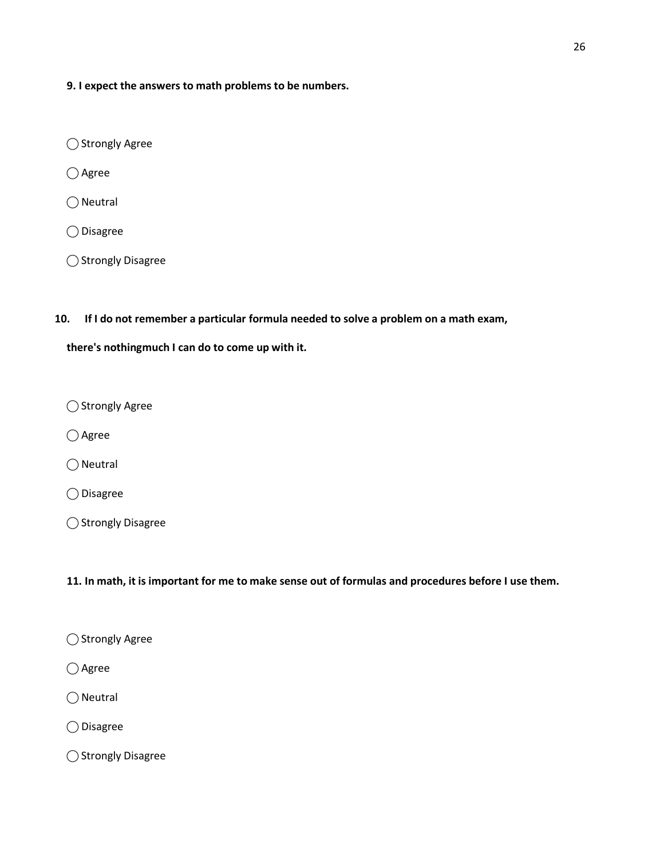**9. I expect the answers to math problems to be numbers.**

◯ Strongly Agree

○ Agree

 $\bigcirc$  Neutral

⃝ Disagree

⃝ Strongly Disagree

## **10. If I do not remember a particular formula needed to solve a problem on a math exam,**

**there's nothingmuch I can do to come up with it.**

⃝ Strongly Agree

○ Agree

 $\bigcirc$  Neutral

⃝ Disagree

⃝ Strongly Disagree

## 11. In math, it is important for me to make sense out of formulas and procedures before I use them.

○ Agree

 $\bigcirc$  Neutral

⃝ Disagree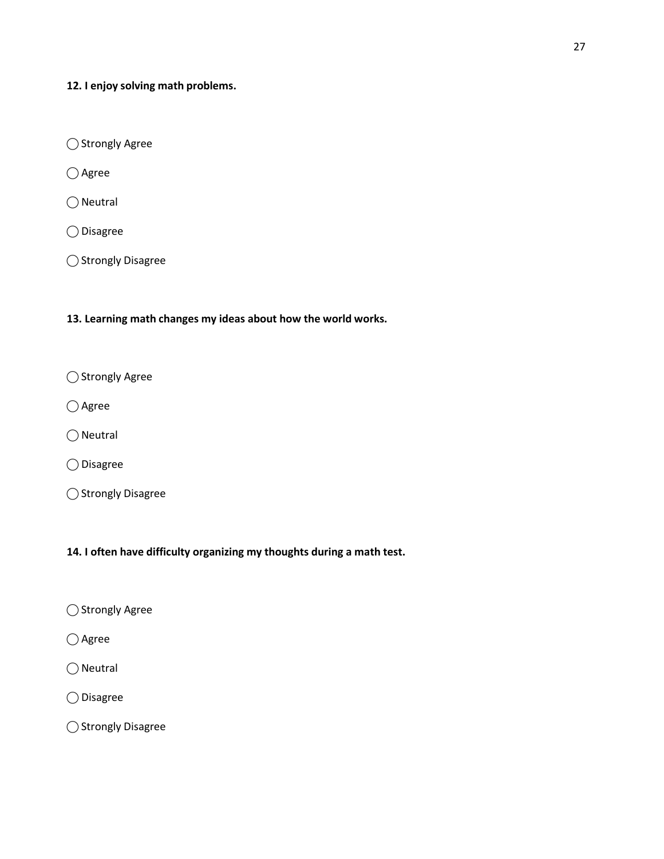**12. I enjoy solving math problems.**

⃝ Strongly Agree

○ Agree

◯ Neutral

⃝ Disagree

⃝ Strongly Disagree

**13. Learning math changes my ideas about how the world works.**

⃝ Strongly Agree

○ Agree

 $\bigcirc$  Neutral

⃝ Disagree

⃝ Strongly Disagree

**14. I often have difficulty organizing my thoughts during a math test.**

○ Strongly Agree

○ Agree

 $\bigcirc$  Neutral

⃝ Disagree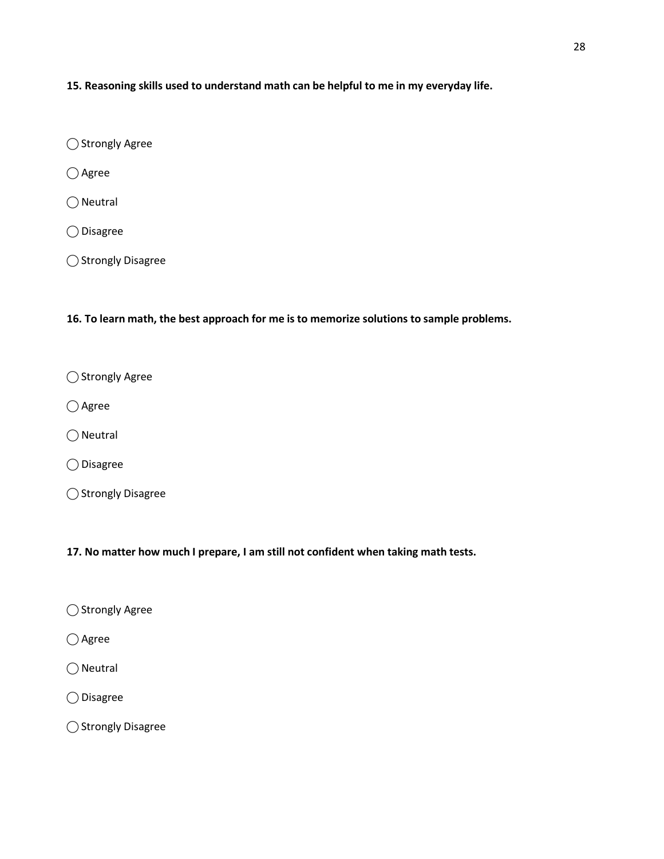**15. Reasoning skills used to understand math can be helpful to me in my everyday life.**

◯ Strongly Agree

○ Agree

 $\bigcirc$  Neutral

⃝ Disagree

⃝ Strongly Disagree

**16. To learn math, the best approach for me is to memorize solutions to sample problems.**

○ Strongly Agree

○ Agree

 $\bigcirc$  Neutral

⃝ Disagree

⃝ Strongly Disagree

**17. No matter how much I prepare, I am still not confident when taking math tests.**

⃝ Strongly Agree

○ Agree

 $\bigcirc$  Neutral

⃝ Disagree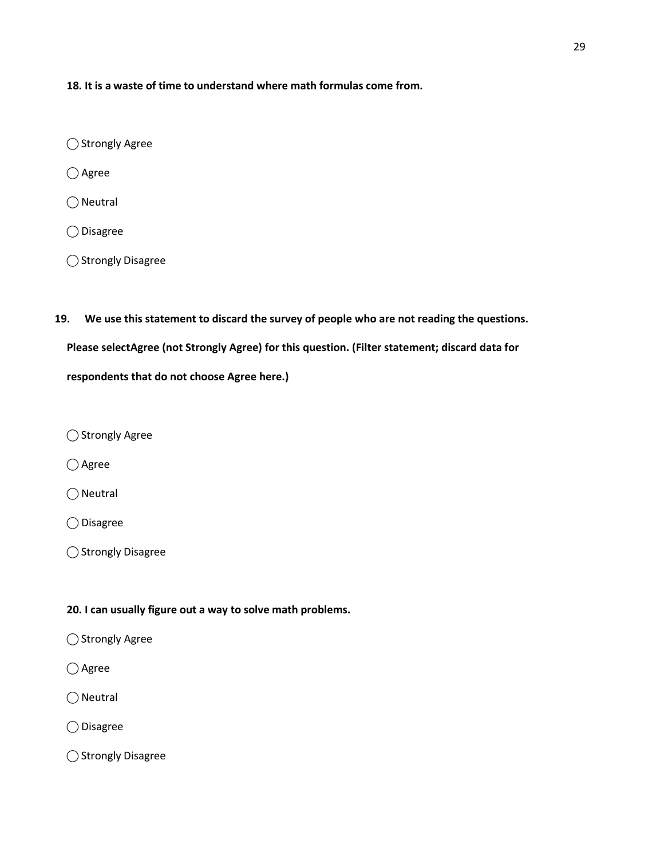**18. It is a waste of time to understand where math formulas come from.**

- ◯ Strongly Agree
- Agree
- $\bigcirc$  Neutral
- ⃝ Disagree
- ⃝ Strongly Disagree
- **19. We use this statement to discard the survey of people who are not reading the questions.**

**Please selectAgree (not Strongly Agree) for this question. (Filter statement; discard data for** 

**respondents that do not choose Agree here.)**

◯ Strongly Agree

○ Agree

 $\bigcirc$  Neutral

⃝ Disagree

⃝ Strongly Disagree

## **20. I can usually figure out a way to solve math problems.**

- ⃝ Strongly Agree
- Agree
- $\bigcirc$  Neutral
- ⃝ Disagree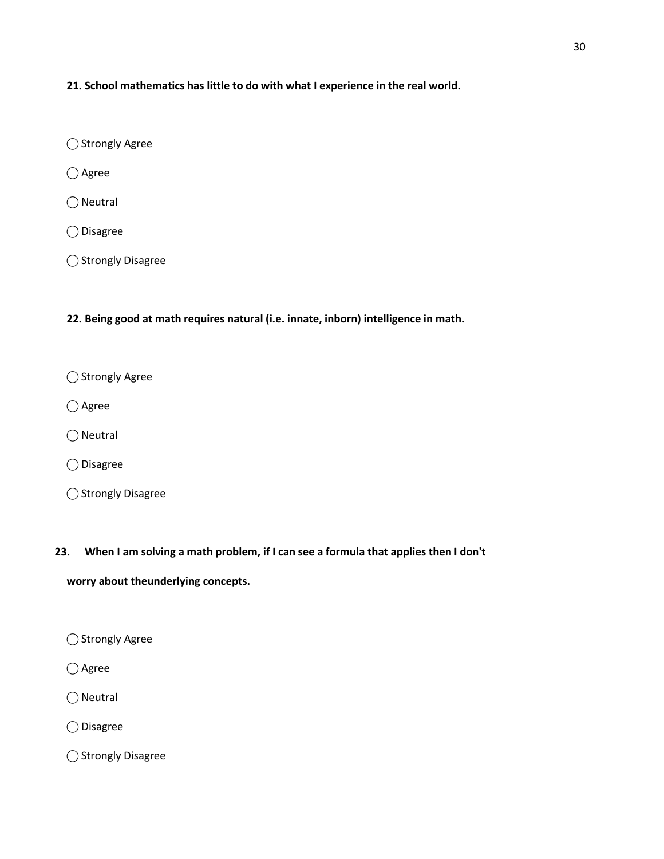**21. School mathematics has little to do with what I experience in the real world.**

◯ Strongly Agree

○ Agree

 $\bigcirc$  Neutral

⃝ Disagree

⃝ Strongly Disagree

**22. Being good at math requires natural (i.e. innate, inborn) intelligence in math.**

○ Strongly Agree

○ Agree

 $\bigcirc$  Neutral

⃝ Disagree

⃝ Strongly Disagree

**23. When I am solving a math problem, if I can see a formula that applies then I don't**

**worry about theunderlying concepts.**

◯ Strongly Agree

○ Agree

 $\bigcirc$  Neutral

⃝ Disagree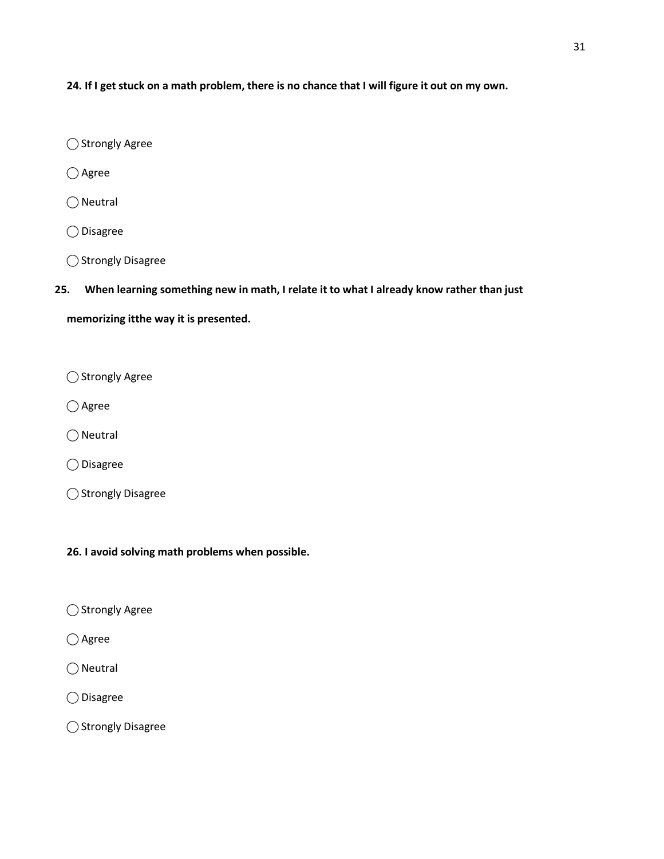24. If I get stuck on a math problem, there is no chance that I will figure it out on my own.

◯ Strongly Agree

○ Agree

 $\bigcirc$  Neutral

⃝ Disagree

⃝ Strongly Disagree

## **25. When learning something new in math, I relate it to what I already know rather than just**

**memorizing itthe way it is presented.**

○ Strongly Agree

○ Agree

 $\bigcirc$  Neutral

⃝ Disagree

⃝ Strongly Disagree

**26. I avoid solving math problems when possible.**

⃝ Strongly Agree

 $\bigcap$  Agree

 $\bigcirc$  Neutral

⃝ Disagree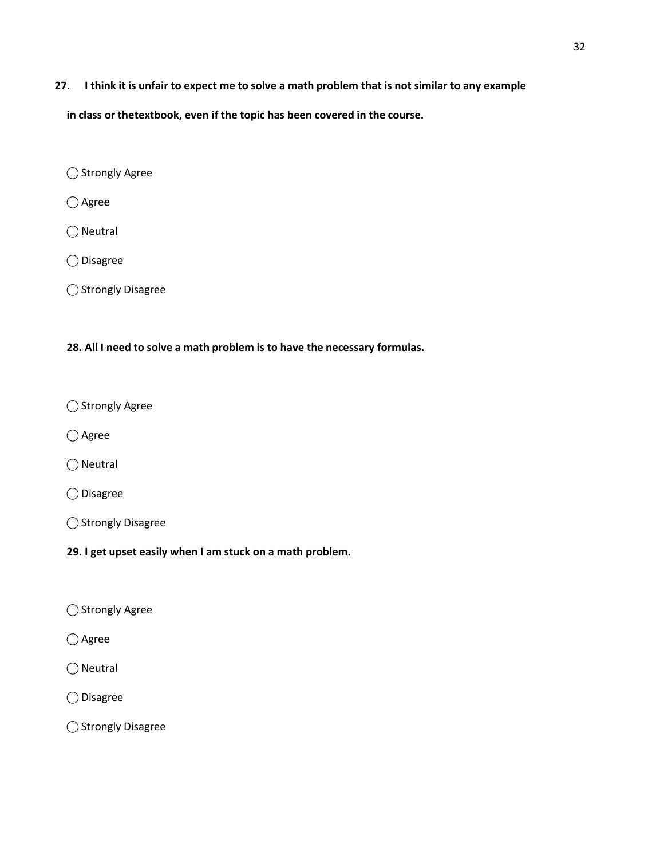27. I think it is unfair to expect me to solve a math problem that is not similar to any example

**in class or thetextbook, even if the topic has been covered in the course.**

⃝ Strongly Agree

 $\bigcirc$  Agree

 $\bigcirc$  Neutral

⃝ Disagree

⃝ Strongly Disagree

## **28. All I need to solve a math problem is to have the necessary formulas.**

⃝ Strongly Agree

○ Agree

 $\bigcirc$  Neutral

⃝ Disagree

⃝ Strongly Disagree

**29. I get upset easily when I am stuck on a math problem.**

⃝ Strongly Agree

 $\bigcap$  Agree

 $\bigcirc$  Neutral

⃝ Disagree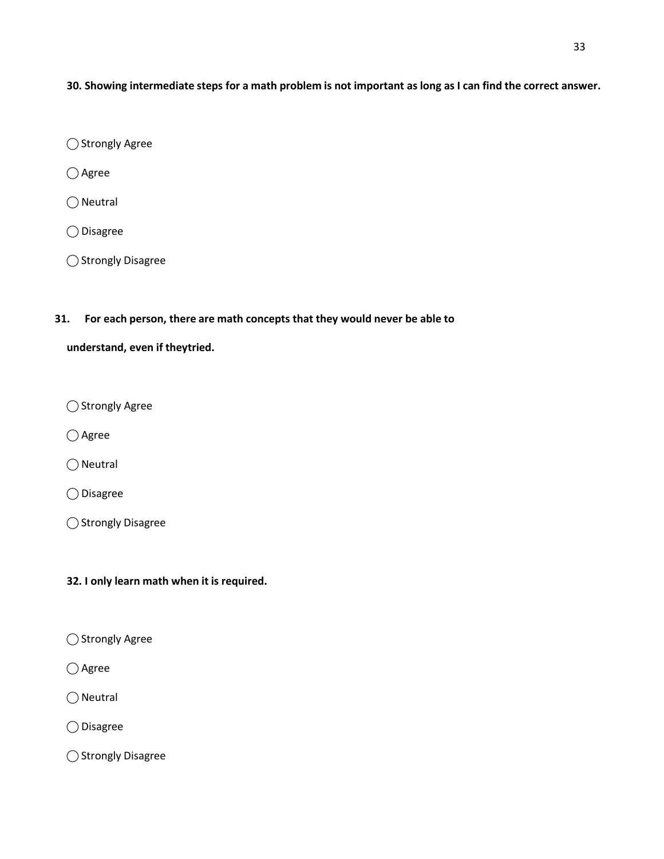30. Showing intermediate steps for a math problem is not important as long as I can find the correct answer.

◯ Strongly Agree

○ Agree

 $\bigcirc$  Neutral

⃝ Disagree

⃝ Strongly Disagree

## **31. For each person, there are math concepts that they would never be able to**

## **understand, even if theytried.**

⃝ Strongly Agree

○ Agree

 $\bigcirc$  Neutral

⃝ Disagree

⃝ Strongly Disagree

## **32. I only learn math when it is required.**

⃝ Strongly Agree

○ Agree

 $\bigcirc$  Neutral

⃝ Disagree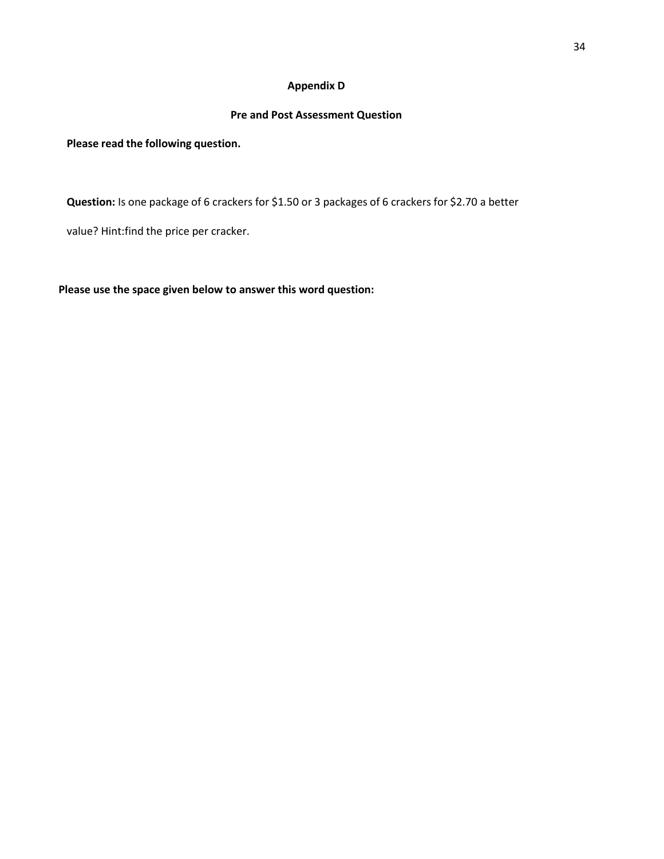## **Appendix D**

## **Pre and Post Assessment Question**

**Please read the following question.**

**Question:** Is one package of 6 crackers for \$1.50 or 3 packages of 6 crackers for \$2.70 a better

value? Hint:find the price per cracker.

**Please use the space given below to answer this word question:**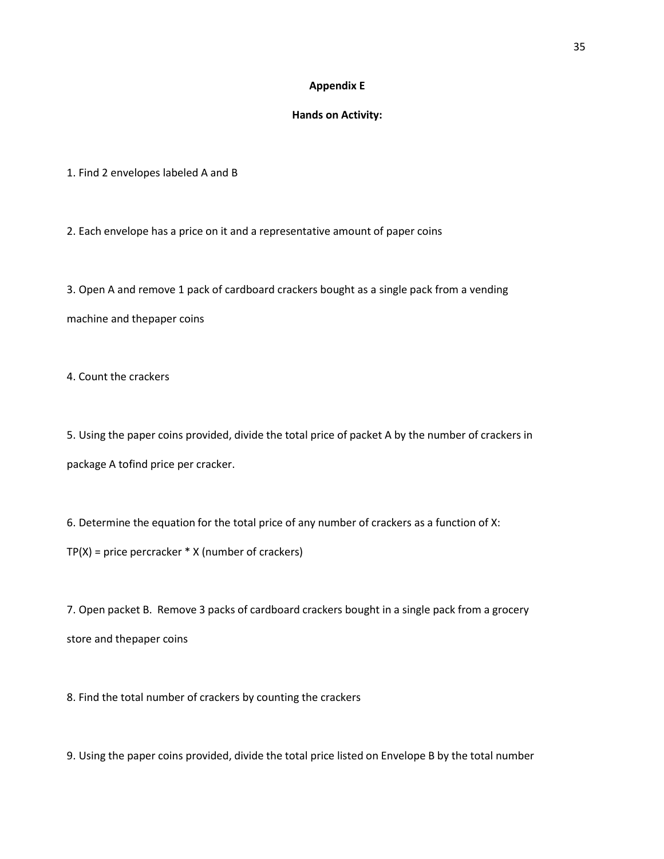## **Appendix E**

## **Hands on Activity:**

1. Find 2 envelopes labeled A and B

2. Each envelope has a price on it and a representative amount of paper coins

3. Open A and remove 1 pack of cardboard crackers bought as a single pack from a vending machine and thepaper coins

4. Count the crackers

5. Using the paper coins provided, divide the total price of packet A by the number of crackers in package A tofind price per cracker.

6. Determine the equation for the total price of any number of crackers as a function of X:  $TP(X)$  = price percracker  $*$  X (number of crackers)

7. Open packet B. Remove 3 packs of cardboard crackers bought in a single pack from a grocery store and thepaper coins

8. Find the total number of crackers by counting the crackers

9. Using the paper coins provided, divide the total price listed on Envelope B by the total number